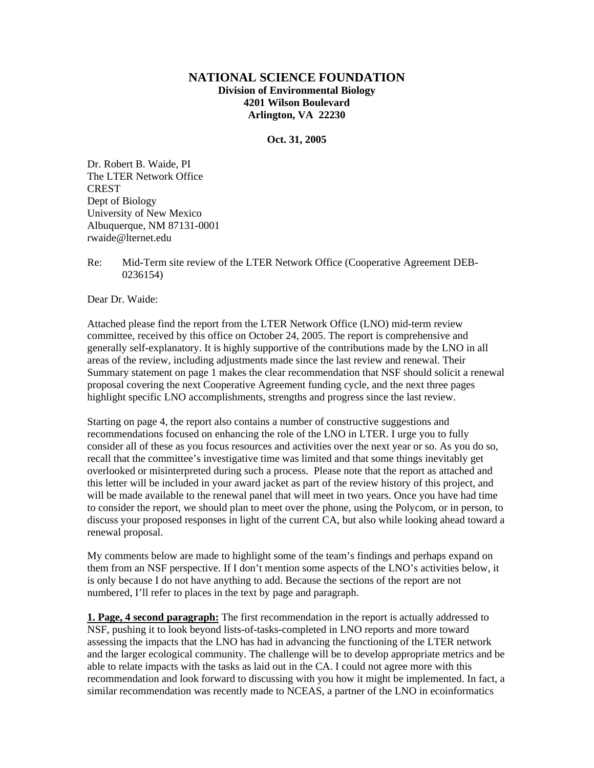## **NATIONAL SCIENCE FOUNDATION Division of Environmental Biology 4201 Wilson Boulevard Arlington, VA 22230**

**Oct. 31, 2005** 

Dr. Robert B. Waide, PI The LTER Network Office **CREST** Dept of Biology University of New Mexico Albuquerque, NM 87131-0001 rwaide@lternet.edu

Re: Mid-Term site review of the LTER Network Office (Cooperative Agreement DEB-0236154)

Dear Dr. Waide:

Attached please find the report from the LTER Network Office (LNO) mid-term review committee, received by this office on October 24, 2005. The report is comprehensive and generally self-explanatory. It is highly supportive of the contributions made by the LNO in all areas of the review, including adjustments made since the last review and renewal. Their Summary statement on page 1 makes the clear recommendation that NSF should solicit a renewal proposal covering the next Cooperative Agreement funding cycle, and the next three pages highlight specific LNO accomplishments, strengths and progress since the last review.

Starting on page 4, the report also contains a number of constructive suggestions and recommendations focused on enhancing the role of the LNO in LTER. I urge you to fully consider all of these as you focus resources and activities over the next year or so. As you do so, recall that the committee's investigative time was limited and that some things inevitably get overlooked or misinterpreted during such a process. Please note that the report as attached and this letter will be included in your award jacket as part of the review history of this project, and will be made available to the renewal panel that will meet in two years. Once you have had time to consider the report, we should plan to meet over the phone, using the Polycom, or in person, to discuss your proposed responses in light of the current CA, but also while looking ahead toward a renewal proposal.

My comments below are made to highlight some of the team's findings and perhaps expand on them from an NSF perspective. If I don't mention some aspects of the LNO's activities below, it is only because I do not have anything to add. Because the sections of the report are not numbered, I'll refer to places in the text by page and paragraph.

**1. Page, 4 second paragraph:** The first recommendation in the report is actually addressed to NSF, pushing it to look beyond lists-of-tasks-completed in LNO reports and more toward assessing the impacts that the LNO has had in advancing the functioning of the LTER network and the larger ecological community. The challenge will be to develop appropriate metrics and be able to relate impacts with the tasks as laid out in the CA. I could not agree more with this recommendation and look forward to discussing with you how it might be implemented. In fact, a similar recommendation was recently made to NCEAS, a partner of the LNO in ecoinformatics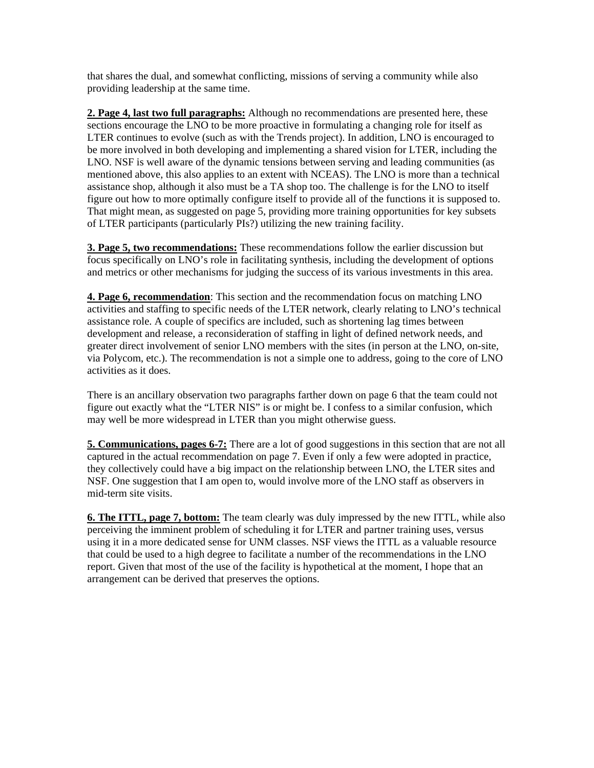that shares the dual, and somewhat conflicting, missions of serving a community while also providing leadership at the same time.

**2. Page 4, last two full paragraphs:** Although no recommendations are presented here, these sections encourage the LNO to be more proactive in formulating a changing role for itself as LTER continues to evolve (such as with the Trends project). In addition, LNO is encouraged to be more involved in both developing and implementing a shared vision for LTER, including the LNO. NSF is well aware of the dynamic tensions between serving and leading communities (as mentioned above, this also applies to an extent with NCEAS). The LNO is more than a technical assistance shop, although it also must be a TA shop too. The challenge is for the LNO to itself figure out how to more optimally configure itself to provide all of the functions it is supposed to. That might mean, as suggested on page 5, providing more training opportunities for key subsets of LTER participants (particularly PIs?) utilizing the new training facility.

**3. Page 5, two recommendations:** These recommendations follow the earlier discussion but focus specifically on LNO's role in facilitating synthesis, including the development of options and metrics or other mechanisms for judging the success of its various investments in this area.

**4. Page 6, recommendation**: This section and the recommendation focus on matching LNO activities and staffing to specific needs of the LTER network, clearly relating to LNO's technical assistance role. A couple of specifics are included, such as shortening lag times between development and release, a reconsideration of staffing in light of defined network needs, and greater direct involvement of senior LNO members with the sites (in person at the LNO, on-site, via Polycom, etc.). The recommendation is not a simple one to address, going to the core of LNO activities as it does.

There is an ancillary observation two paragraphs farther down on page 6 that the team could not figure out exactly what the "LTER NIS" is or might be. I confess to a similar confusion, which may well be more widespread in LTER than you might otherwise guess.

**5. Communications, pages 6-7:** There are a lot of good suggestions in this section that are not all captured in the actual recommendation on page 7. Even if only a few were adopted in practice, they collectively could have a big impact on the relationship between LNO, the LTER sites and NSF. One suggestion that I am open to, would involve more of the LNO staff as observers in mid-term site visits.

**6. The ITTL, page 7, bottom:** The team clearly was duly impressed by the new ITTL, while also perceiving the imminent problem of scheduling it for LTER and partner training uses, versus using it in a more dedicated sense for UNM classes. NSF views the ITTL as a valuable resource that could be used to a high degree to facilitate a number of the recommendations in the LNO report. Given that most of the use of the facility is hypothetical at the moment, I hope that an arrangement can be derived that preserves the options.